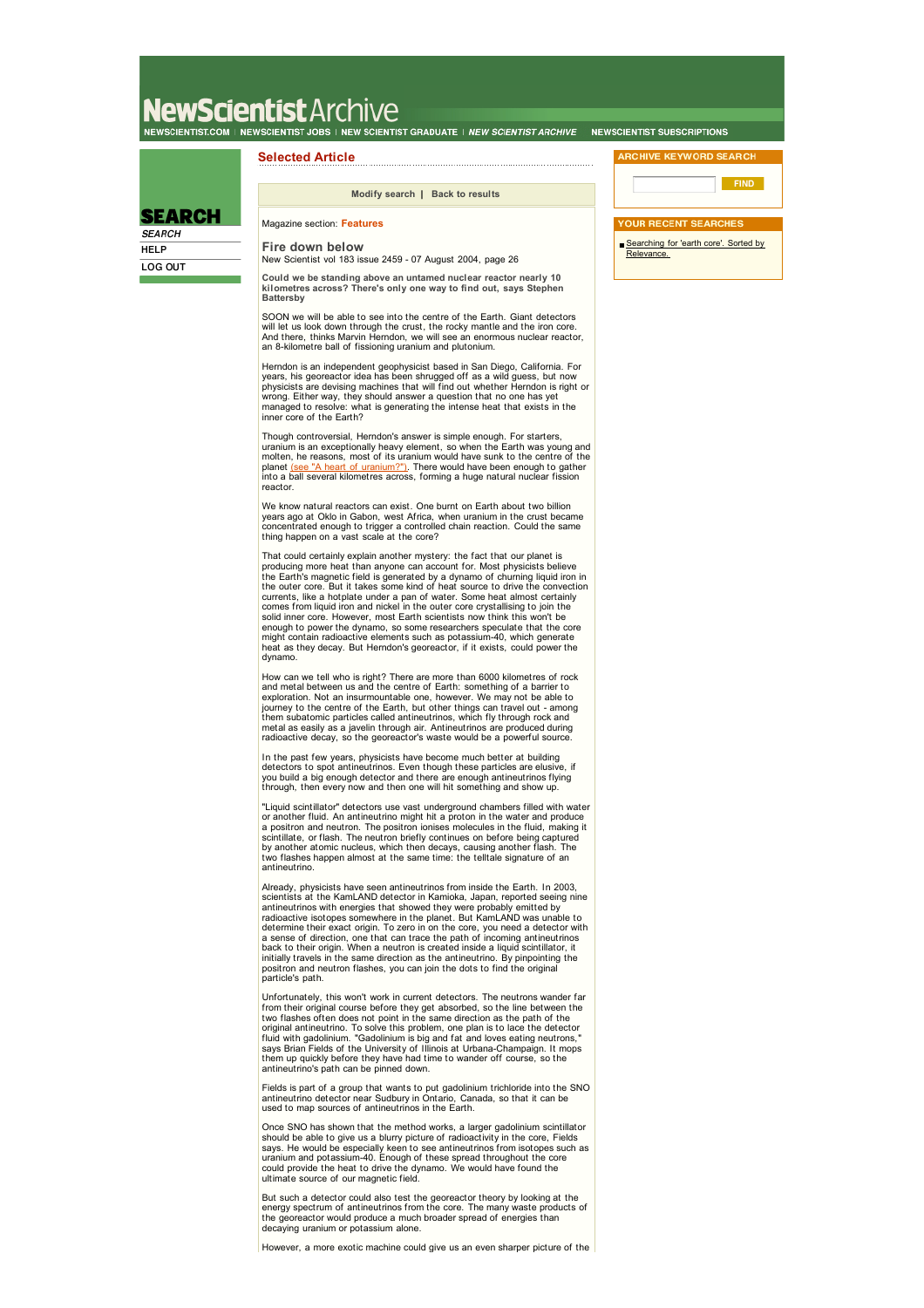# NewScientistArchive .<br>NEWSCIENTIST.COM | NEWSCIENTIST JOBS | NEW SCIENTIST GRADUATE | *NEW SCIENTIST ARCHIVE* | NEWSCIENTIST SUBSCRIPTIONS

### **Selected Article**

**Modify search | Back to results**

## **SEARCH**

**SEARCH HELP** LOG OUT

#### Magazine section: **Features Fire down below**

New Scientist vol 183 issue 2459 - 07 August 2004, page 26

**Could we be standing above an untamed nuclear reactor nearly 10 kilometres across? There's only one way to find out, says Stephen Battersby**

SOON we will be able to see into the centre of the Earth. Giant detectors<br>will let us look down through the crust, the rocky mantle and the iron core.<br>And there, thinks Marvin Herndon, we will see an enormous nuclear react an 8-kilometre ball of fissioning uranium and plutonium.

Herndon is an independent geophysicist based in San Diego, California. For<br>years, his georeactor idea has been shrugged off as a wild guess, but now<br>physicists are devising machines that will find out whether Herndon is ri inner core of the Earth?

Though controversial, Herndon's answer is simple enough. For starters,<br>uranium is an exceptionally heavy element, so when the Earth was young and<br>molten, he reasons, most of its uranium would have sunk to the centre of the reactor.

We know natural reactors can exist. One burnt on Earth about two billion years ago at Oklo in Gabon, west Africa, when uranium in the crust became concentrated enough to trigger a controlled chain reaction. Could the same thing happen on a vast scale at the core?

That could certainly explain another mystery: the fact that our planet is<br>producing more heat than anyone can account for. Most physicists believe<br>the Earth's magnetic field is generated by a dynamo of churning liquid iron the outer core. But it takes some kind of heat source to drive the convection<br>currents, like a hotplate under a pan of water. Some heat almost certainly<br>comes from liquid iron and nickel in the outer core crystallising to solid inner core. However, most Earth scientists now think this won't be<br>enough to power the dynamo, so some researchers speculate that the core<br>might contain radioactive elements such as potassium-40, which generate heat as they decay. But Herndon's georeactor, if it exists, could power the dynamo.

How can we tell who is right? There are more than 6000 kilometres of rock and metal between us and the centre of Earth: something of a barrier to<br>exploration. Not an insurmountable one, however. We may not be able to<br>journey to the centre of the Earth, but other things can travel out - among them subatomic particles called antineutrinos, which fly through rock and<br>metal as easily as a javelin through air. Antineutrinos are produced during<br>radioactive decay, so the georeactor's waste would be a powerful source.

In the past few years, physicists have become much better at building<br>detectors to spot antineutrinos. Even though these particles are elusive, if<br>you build a big enough detector and there are enough antineutrinos flying<br>t

"Liquid scintillator" detectors use vast underground chambers filled with water or another fluid. An antineutrino might hit a proton in the water and produce a positron and neutron. The positron ionises molecules in the fluid, making it<br>scintillate, or flash. The neutron briefly continues on before being captured<br>by another atomic nucleus, which then decays, causing another fla two flashes happen almost at the same time: the telltale signature of an antineutrino.

Already, physicists have seen antineutrinos from inside the Earth. In 2003,<br>scientists at the KamLAND detector in Kamioka, Japan, reported seeing nine<br>antineutrinos with energies that showed they were probably emitted by radioactive isotopes somewhere in the planet. But KamLAND was unable to<br>determine their exact origin. To zero in on the core, you need a detector with<br>a sense of direction, one that can trace the path of incoming antineutr back to their origin. When a neutron is created inside a liquid scintillator, it initially travels in the same direction as the antineutrino. By pinpointing the positron and neutron flashes, you can join the dots to find the original particle's path.

Unfortunately, this won't work in current detectors. The neutrons wander far from their original course before they get absorbed, so the line between the two flashes often does not point in the same direction as the path of the original antineutrino. To solve this problem, one plan is to lace the detector<br>fluid with gadolinium. "Gadolinium is big and fat and loves eating neutrons,"<br>says Brian Fields of the University of Illinois at Urbana-Champ them up quickly before they have had time to wander off course, so the antineutrino's path can be pinned down.

Fields is part of a group that wants to put gadolinium trichloride into the SNO antineutrino detector near Sudbury in Ontario, Canada, so that it can be used to map sources of antineutrinos in the Earth.

Once SNO has shown that the method works, a larger gadolinium scintillator<br>should be able to give us a blurry picture of radioactivity in the core, Fields<br>says. He would be especially keen to see antineutrinos from isotope uranium and potassium-40. Enough of these spread throughout the core could provide the heat to drive the dynamo. We would have found the ultimate source of our magnetic field.

But such a detector could also test the georeactor theory by looking at the<br>energy spectrum of antineutrinos from the core. The many waste products of<br>the georeactor would produce a much broader spread of energies than aying uranium or potassium alone.

However, a more exotic machine could give us an even sharper picture of the

**FIND** 

Searching for 'earth core'. Sorted by Relevance.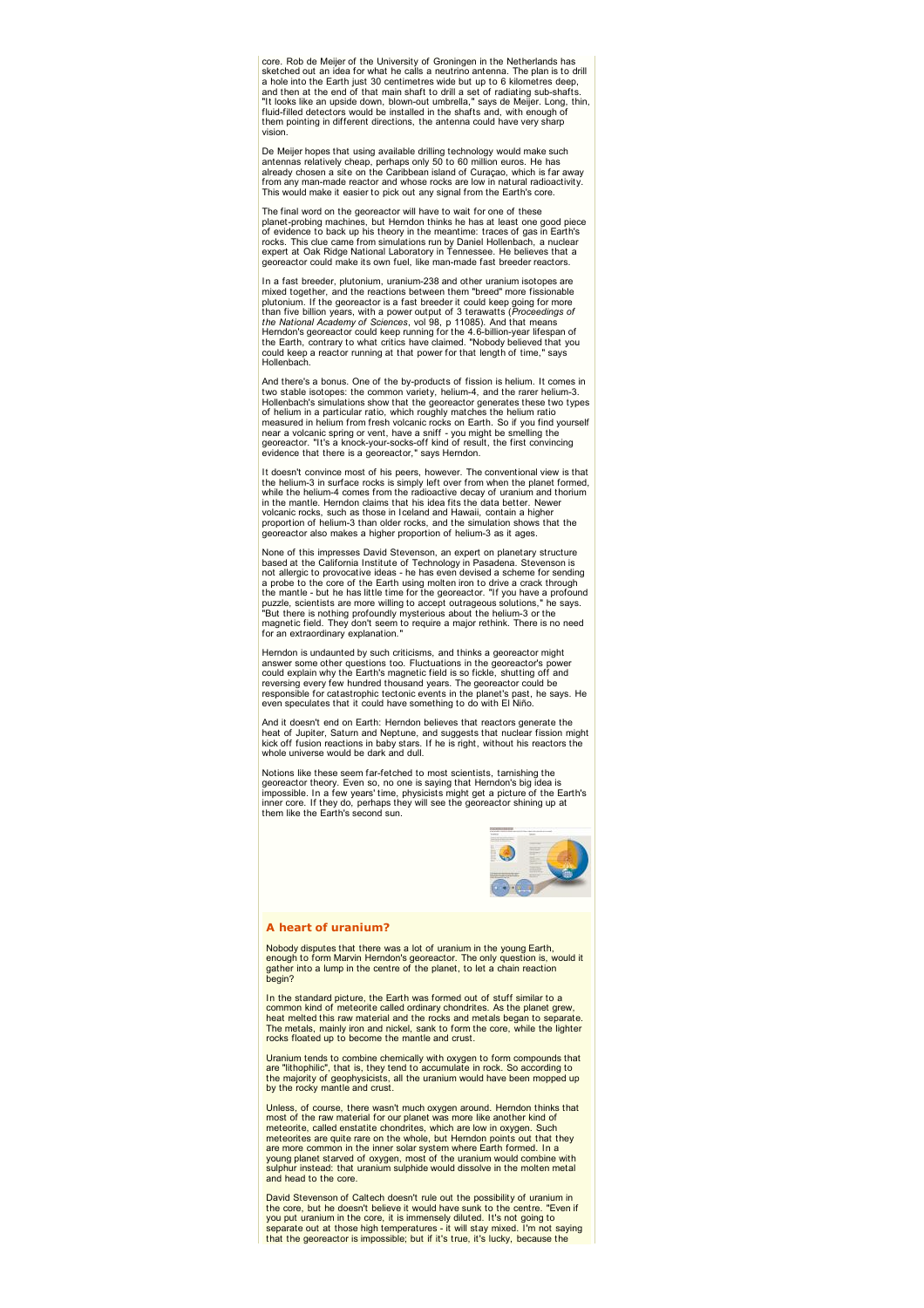core. Rob de Meijer of the University of Groningen in the Netherlands has sketched out an idea for what he calls a neutrino antenna. The plan is to drill a hole into the Earth just 30 centimetres wide but up to 6 kilometres deep,<br>and then at the end of that main shaft to drill a set of radiating sub-shafts.<br>"It looks like an upside down, blown-out umbrella," says de Meijer. fluid-filled detectors would be installed in the shafts and, with enough of them pointing in different directions, the antenna could have very sharp vision.

De Meijer hopes that using available drilling technology would make such<br>antennas relatively cheap, perhaps only 50 to 60 million euros. He has<br>already chosen a site on the Caribbean island of Curaçao, which is far away from any man-made reactor and whose rocks are low in natural radioactivity. This would make it easier to pick out any signal from the Earth's core.

The final word on the georeactor will have to wait for one of these<br>planet-probing machines, but Herndon thinks he has at least one good piece<br>of evidence to back up his theory in the meantime: traces of gas in Earth's rocks. This clue came from simulations run by Daniel Hollenbach, a nuclear<br>expert at Oak Ridge National Laboratory in Tennessee. He believes that a<br>georeactor could make its own fuel, like man-made fast breeder reactors.

In a fast breeder, plutonium, uranium-238 and other uranium isotopes are<br>mixed together, and the reactions between them "breed" more fissionable<br>plutonium. If the georeactor is a fast breeder it could keep going for more than five billion years, with a power output of 3 terawatts (*Proceedings of*<br>the National Academy of Sciences, vol 98, p 11085). And that means<br>Herndon's georeactor could keep running for the 4.6-billion-year lifespan of<br>

And there's a bonus. One of the by-products of fission is helium. It comes in two stable isotopes: the common variety, helium-4, and the rarer helium-3. Hollenbach's simulations show that the georeactor generates these two types of helium in a particular ratio, which roughly matches the helium ratio<br>measured in helium from fresh volcanic rocks on Earth. So if you find yourself<br>near a volcanic spring or vent, have a sniff - you might be smelling th

It doesn't convince most of his peers, however. The conventional view is that the helium-3 in surface rocks is simply left over from when the planet formed,<br>while the helium-4 comes from the radioactive decay of uranium and thorium<br>in the mantle. Herndon claims that his idea fits the data better. N volcanic rocks, such as those in Iceland and Hawaii, contain a higher proportion of helium-3 than older rocks, and the simulation shows that the georeactor also makes a higher proportion of helium-3 as it ages.

None of this impresses David Stevenson, an expert on planetary structure based at the California Institute of Technology in Pasadena. Stevenson is not allergic to provocative ideas - he has even devised a scheme for sending<br>a probe to the core of the Earth using molten iron to drive a crack through<br>the mantle - but he has little time for the georeactor. "If you have for an extraordinary explanation.

Herndon is undaunted by such criticisms, and thinks a georeactor might answer some other questions too. Fluctuations in the georeactor's power could explain why the Earth's magnetic field is so fickle, shutting off and<br>reversing every few hundred thousand years. The georeactor could be<br>responsible for catastrophic tectonic events in the planet's past, he says. He even speculates that it could have something to do with El Niño.

And it doesn't end on Earth: Herndon believes that reactors generate the heat of Jupiter, Saturn and Neptune, and suggests that nuclear fission might kick off fusion reactions in baby stars. If he is right, without his reactors the whole universe would be dark and dull.

Notions like these seem far-fetched to most scientists, tarnishing the georeactor theory. Even so, no one is saying that Herndon's big idea is<br>impossible. In a few years' time, physicists might get a picture of the Earth's<br>inner core. If they do, perhaps they will see the georeactor shining u them like the Earth's second sun.



#### **A heart of uranium?**

Nobody disputes that there was a lot of uranium in the young Earth, enough to form Marvin Herndon's georeactor. The only question is, would it gather into a lump in the centre of the planet, to let a chain reaction begin?

In the standard picture, the Earth was formed out of stuff similar to a common kind of meteorite called ordinary chondrites. As the planet grew, heat melted this raw material and the rocks and metals began to separate. The metals, mainly iron and nickel, sank to form the core, while the lighter rocks floated up to become the mantle and crust.

Uranium tends to combine chemically with oxygen to form compounds that are "lithophilic", that is, they tend to accumulate in rock. So according to the majority of geophysicists, all the uranium would have been mopped up by the rocky mantle and crust.

Unless, of course, there wasn't much oxygen around. Herndon thinks that most of the raw material for our planet was more like another kind of<br>meteorite, called enstatite chondrites, which are low in oxygen. Such<br>meteorites are quite rare on the whole, but Herndon points out that they are more common in the inner solar system where Earth formed. In a<br>young planet starved of oxygen, most of the uranium would combine with<br>sulphur instead: that uranium sulphide would dissolve in the molten metal and head to the core.

David Stevenson of Caltech doesn't rule out the possibility of uranium in the core, but he doesn't believe it would have sunk to the centre. "Even if you put uranium in the core, it is immensely diluted. It's not going to<br>separate out at those high temperatures - it will stay mixed. I'm not saying<br>that the georeactor is impossible; but if it's true, it's lucky, because